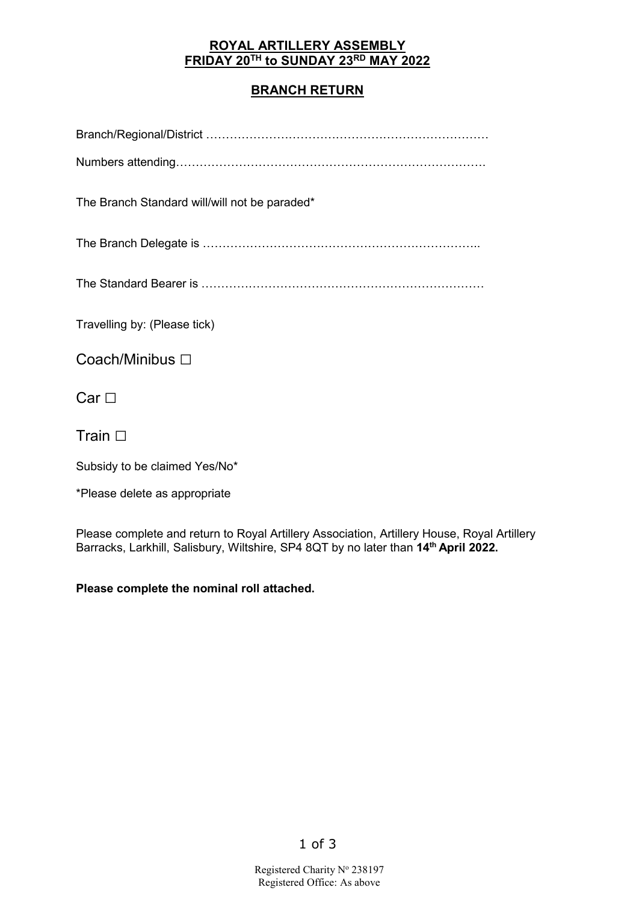#### **ROYAL ARTILLERY ASSEMBLY FRIDAY 20TH to SUNDAY 23RD MAY 2022**

#### **BRANCH RETURN**

| The Branch Standard will/will not be paraded* |
|-----------------------------------------------|
|                                               |
|                                               |
| Travelling by: (Please tick)                  |
| Coach/Minibus □                               |
| $Car \Box$<br>Train $\square$                 |
|                                               |
| Subsidy to be claimed Yes/No*                 |

\*Please delete as appropriate

Please complete and return to Royal Artillery Association, Artillery House, Royal Artillery Barracks, Larkhill, Salisbury, Wiltshire, SP4 8QT by no later than **14th April 2022.**

**Please complete the nominal roll attached.**

1 of 3

Registered Charity Nº 238197 Registered Office: As above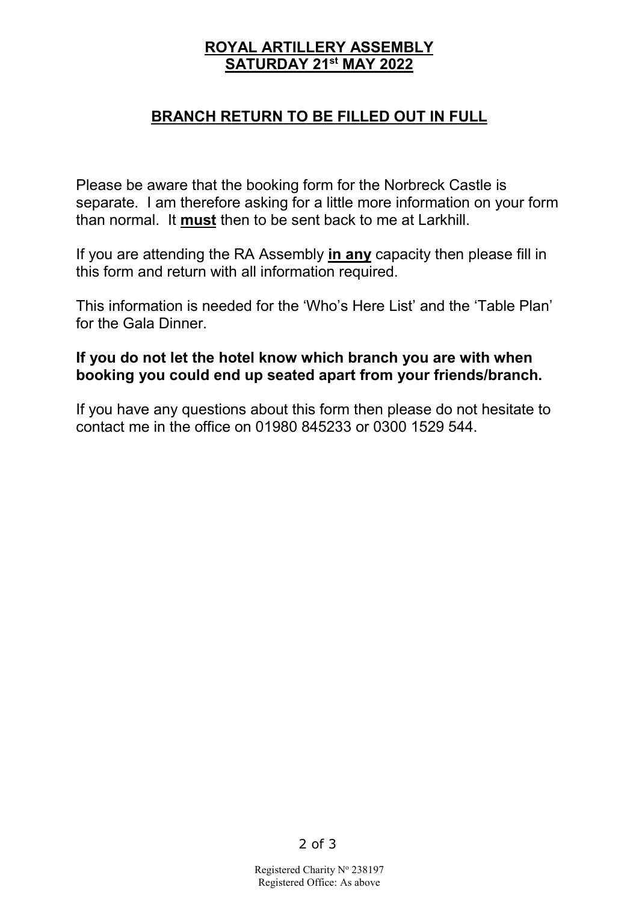## **ROYAL ARTILLERY ASSEMBLY SATURDAY 21st MAY 2022**

### **BRANCH RETURN TO BE FILLED OUT IN FULL**

Please be aware that the booking form for the Norbreck Castle is separate. I am therefore asking for a little more information on your form than normal. It **must** then to be sent back to me at Larkhill.

If you are attending the RA Assembly **in any** capacity then please fill in this form and return with all information required.

This information is needed for the 'Who's Here List' and the 'Table Plan' for the Gala Dinner.

### **If you do not let the hotel know which branch you are with when booking you could end up seated apart from your friends/branch.**

If you have any questions about this form then please do not hesitate to contact me in the office on 01980 845233 or 0300 1529 544.

Registered Charity Nº 238197 Registered Office: As above